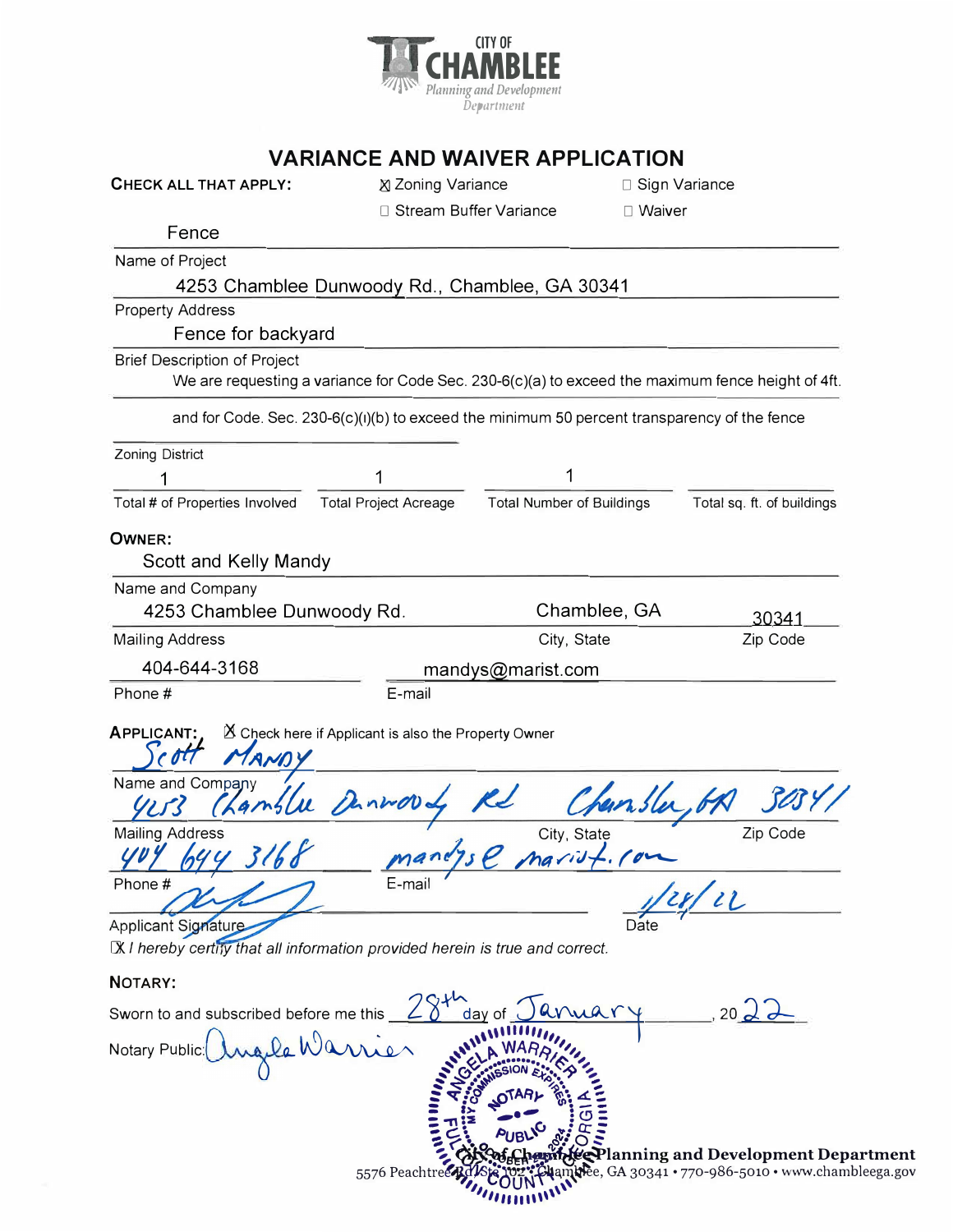

## VARIANCE AND WAIVER APPLICATION

|                                                                              | VARIANUE AND WAIVER APPLIUATION                                                                   |                                    |          |                                                                                           |  |
|------------------------------------------------------------------------------|---------------------------------------------------------------------------------------------------|------------------------------------|----------|-------------------------------------------------------------------------------------------|--|
| <b>CHECK ALL THAT APPLY:</b>                                                 |                                                                                                   | X Zoning Variance                  |          | □ Sign Variance                                                                           |  |
|                                                                              | □ Stream Buffer Variance                                                                          |                                    | □ Waiver |                                                                                           |  |
| Fence                                                                        |                                                                                                   |                                    |          |                                                                                           |  |
| Name of Project                                                              |                                                                                                   |                                    |          |                                                                                           |  |
|                                                                              | 4253 Chamblee Dunwoody Rd., Chamblee, GA 30341                                                    |                                    |          |                                                                                           |  |
| <b>Property Address</b>                                                      |                                                                                                   |                                    |          |                                                                                           |  |
| Fence for backyard                                                           |                                                                                                   |                                    |          |                                                                                           |  |
| <b>Brief Description of Project</b>                                          | We are requesting a variance for Code Sec. 230-6(c)(a) to exceed the maximum fence height of 4ft. |                                    |          |                                                                                           |  |
|                                                                              |                                                                                                   |                                    |          |                                                                                           |  |
|                                                                              | and for Code. Sec. 230-6(c)(i)(b) to exceed the minimum 50 percent transparency of the fence      |                                    |          |                                                                                           |  |
| <b>Zoning District</b>                                                       |                                                                                                   |                                    |          |                                                                                           |  |
|                                                                              | 1                                                                                                 | 1                                  |          |                                                                                           |  |
| Total # of Properties Involved                                               | <b>Total Project Acreage</b>                                                                      | <b>Total Number of Buildings</b>   |          | Total sq. ft. of buildings                                                                |  |
|                                                                              |                                                                                                   |                                    |          |                                                                                           |  |
| <b>OWNER:</b><br>Scott and Kelly Mandy                                       |                                                                                                   |                                    |          |                                                                                           |  |
| Name and Company                                                             |                                                                                                   |                                    |          |                                                                                           |  |
| 4253 Chamblee Dunwoody Rd.                                                   |                                                                                                   | Chamblee, GA                       |          |                                                                                           |  |
| <b>Mailing Address</b>                                                       |                                                                                                   | City, State                        |          | 30341<br>Zip Code                                                                         |  |
|                                                                              |                                                                                                   |                                    |          |                                                                                           |  |
| 404-644-3168<br>Phone #                                                      |                                                                                                   | mandys@marist.com<br>E-mail        |          |                                                                                           |  |
|                                                                              |                                                                                                   |                                    |          |                                                                                           |  |
| <b>APPLICANT:</b>                                                            | X Check here if Applicant is also the Property Owner                                              |                                    |          |                                                                                           |  |
| AND                                                                          |                                                                                                   |                                    |          |                                                                                           |  |
| Name and Company<br>71.53                                                    | u Denvor-                                                                                         |                                    | ansla    |                                                                                           |  |
| <b>Mailing Address</b>                                                       |                                                                                                   | City, State                        |          | Zip Code                                                                                  |  |
| $1104$ Level $316$                                                           |                                                                                                   | $\sim$ $\sim$ $\sim$ $\sim$ $\sim$ |          |                                                                                           |  |
| Phone #                                                                      | E-mail                                                                                            |                                    |          | $\iota\iota$                                                                              |  |
| Applicant Signature                                                          |                                                                                                   |                                    | שate     |                                                                                           |  |
| X I hereby certily that all information provided herein is true and correct. |                                                                                                   |                                    |          |                                                                                           |  |
|                                                                              |                                                                                                   |                                    |          |                                                                                           |  |
| <b>NOTARY:</b>                                                               |                                                                                                   |                                    |          |                                                                                           |  |
| Sworn to and subscribed before me this                                       |                                                                                                   | day of                             |          | 20c                                                                                       |  |
| lugle Wa<br>Notary Public                                                    |                                                                                                   |                                    |          |                                                                                           |  |
|                                                                              |                                                                                                   |                                    |          |                                                                                           |  |
|                                                                              |                                                                                                   |                                    |          |                                                                                           |  |
|                                                                              |                                                                                                   |                                    |          |                                                                                           |  |
|                                                                              | 5576 Peachtre                                                                                     |                                    |          | Planning and Development Department<br>blee, GA 30341 . 770-986-5010 . www.chambleega.gov |  |
|                                                                              |                                                                                                   |                                    |          |                                                                                           |  |